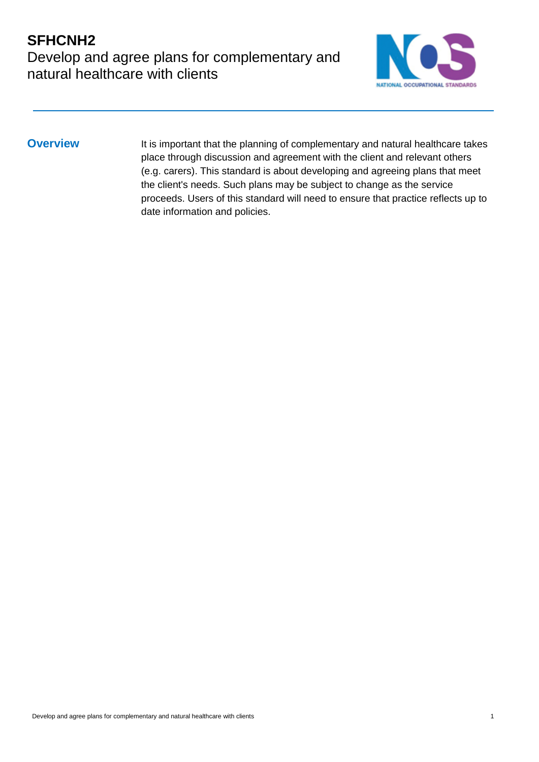### **SFHCNH2** Develop and agree plans for complementary and natural healthcare with clients



**Overview** It is important that the planning of complementary and natural healthcare takes place through discussion and agreement with the client and relevant others (e.g. carers). This standard is about developing and agreeing plans that meet the client's needs. Such plans may be subject to change as the service proceeds. Users of this standard will need to ensure that practice reflects up to date information and policies.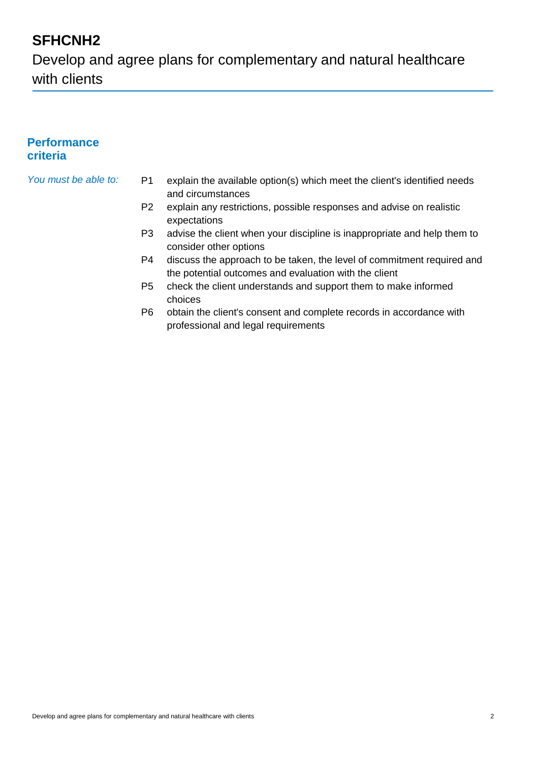## **SFHCNH2**

Develop and agree plans for complementary and natural healthcare with clients

#### **Performance criteria**

- *You must be able to:* P1 explain the available option(s) which meet the client's identified needs and circumstances
	- P2 explain any restrictions, possible responses and advise on realistic expectations
	- P3 advise the client when your discipline is inappropriate and help them to consider other options
	- P4 discuss the approach to be taken, the level of commitment required and the potential outcomes and evaluation with the client
	- P5 check the client understands and support them to make informed choices
	- P6 obtain the client's consent and complete records in accordance with professional and legal requirements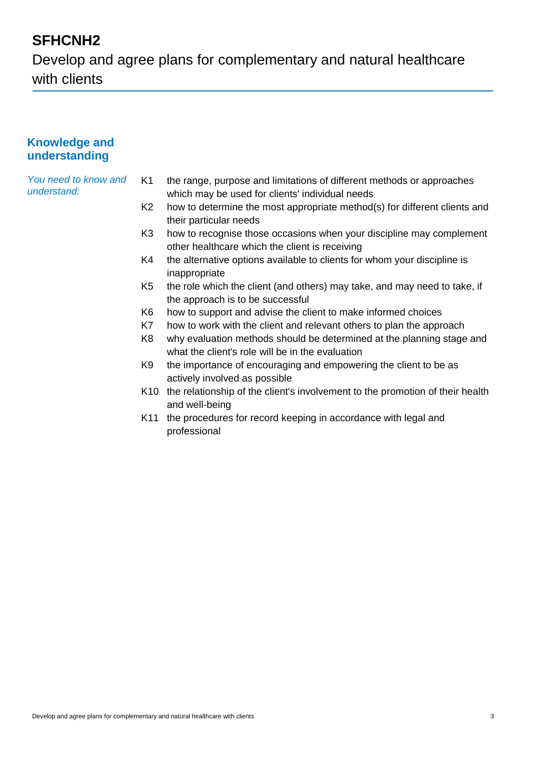## **SFHCNH2**

Develop and agree plans for complementary and natural healthcare with clients

#### **Knowledge and understanding**

*You need to know and understand:*

- K1 the range, purpose and limitations of different methods or approaches which may be used for clients' individual needs
- K2 how to determine the most appropriate method(s) for different clients and their particular needs
- K3 how to recognise those occasions when your discipline may complement other healthcare which the client is receiving
- K4 the alternative options available to clients for whom your discipline is inappropriate
- K5 the role which the client (and others) may take, and may need to take, if the approach is to be successful
- K6 how to support and advise the client to make informed choices
- K7 how to work with the client and relevant others to plan the approach
- K8 why evaluation methods should be determined at the planning stage and what the client's role will be in the evaluation
- K9 the importance of encouraging and empowering the client to be as actively involved as possible
- K10 the relationship of the client's involvement to the promotion of their health and well-being
- K11 the procedures for record keeping in accordance with legal and professional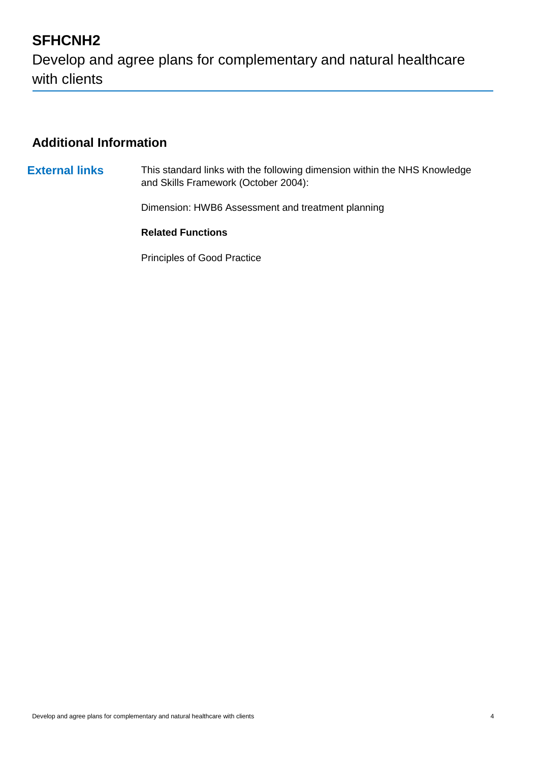# **SFHCNH2** Develop and agree plans for complementary and natural healthcare with clients

#### **Additional Information**

**External links** This standard links with the following dimension within the NHS Knowledge and Skills Framework (October 2004): Dimension: HWB6 Assessment and treatment planning

**Related Functions**

Principles of Good Practice